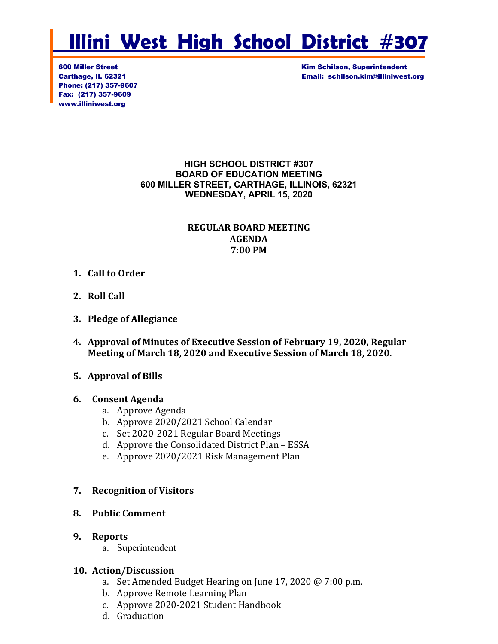# **Illini West High School District #307**

Phone: (217) 357-9607 Fax: (217) 357-9609 www.illiniwest.org

600 Miller Street Kim Schilson, Superintendent Carthage, IL 62321 Email: schilson.kim@illiniwest.org

#### **HIGH SCHOOL DISTRICT #307 BOARD OF EDUCATION MEETING 600 MILLER STREET, CARTHAGE, ILLINOIS, 62321 WEDNESDAY, APRIL 15, 2020**

#### **REGULAR BOARD MEETING AGENDA 7:00 PM**

- **1. Call to Order**
- **2. Roll Call**
- **3. Pledge of Allegiance**
- **4. Approval of Minutes of Executive Session of February 19, 2020, Regular Meeting of March 18, 2020 and Executive Session of March 18, 2020.**
- **5. Approval of Bills**

#### **6. Consent Agenda**

- a. Approve Agenda
- b. Approve 2020/2021 School Calendar
- c. Set 2020-2021 Regular Board Meetings
- d. Approve the Consolidated District Plan ESSA
- e. Approve 2020/2021 Risk Management Plan

#### **7. Recognition of Visitors**

#### **8. Public Comment**

#### **9. Reports**

a. Superintendent

# **10. Action/Discussion**

- a. Set Amended Budget Hearing on June 17, 2020 @ 7:00 p.m.
- b. Approve Remote Learning Plan
- c. Approve 2020-2021 Student Handbook
- d. Graduation